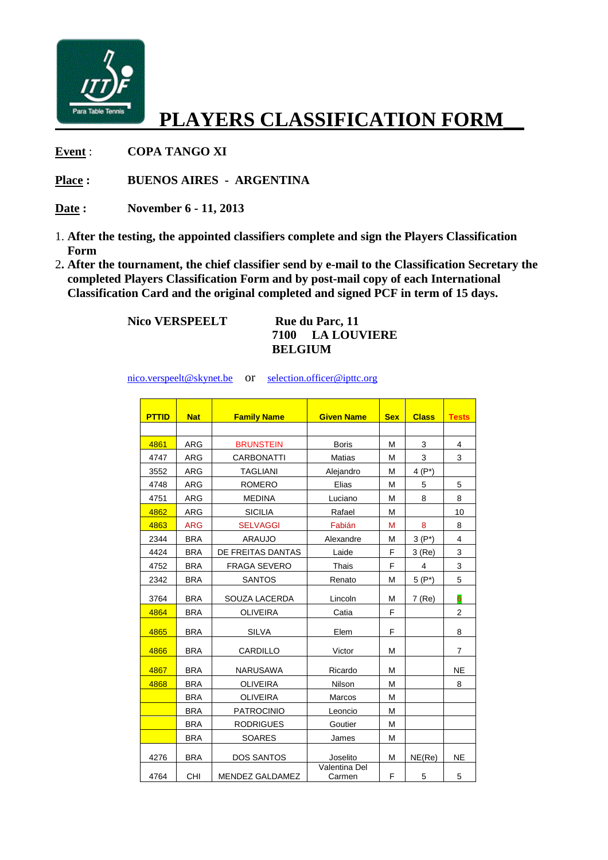

## **PLAYERS CLASSIFICATION FORM\_\_**

**Event** : **COPA TANGO XI** 

**Place : BUENOS AIRES - ARGENTINA** 

- **Date : November 6 11, 2013**
- 1. **After the testing, the appointed classifiers complete and sign the Players Classification Form**
- 2**. After the tournament, the chief classifier send by e-mail to the Classification Secretary the completed Players Classification Form and by post-mail copy of each International Classification Card and the original completed and signed PCF in term of 15 days.**

**Nico VERSPEELT** Rue du Parc, 11

**7100 LA LOUVIERE BELGIUM** 

nico.verspeelt@skynet.be or selection.officer@ipttc.org

**PTTID** Nat **Family Name Given Name Sex Class** Tests 4861 ARG BRUNSTEIN Boris M 3 4 4747 | ARG | CARBONATTI | Matias | M | 3 | 3 3552 ARG TAGLIANI Alejandro M 4 (P\*) 4748 | ARG | ROMERO | Elias | M | 5 | 5 4751 | ARG | MEDINA | Luciano | M | 8 | 8 4862 ARG SICILIA | Rafael | M | 10 4863 ARG SELVAGGI Fabián M 8 8 2344 BRA ARAUJO | Alexandre M  $3 (P^*)$  4 4424 | BRA | DE FREITAS DANTAS | Laide | F | 3 (Re) | 3 4752 BRA FRAGA SEVERO Thais F 4 3 2342 BRA SANTOS Renato M 5 (P\*) 5 3764 | BRA | SOUZA LACERDA | Lincoln | M | 7 (Re) | 6 4864 BRA | OLIVEIRA | Catia | F | | 2 4865 BRA SILVA | Elem | F | | 8 4866 BRA CARDILLO | Victor | M | 7 4867 BRA | NARUSAWA | Ricardo | M | | NE 4868 BRA | OLIVEIRA | Nilson | M | | 8 BRA OLIVEIRA Marcos M BRA PATROCINIO Leoncio M BRA RODRIGUES Goutier M BRA SOARES James M 4276 | BRA | DOS SANTOS | Joselito | M NE(Re) | NE 4764 CHI MENDEZ GALDAMEZ Valentina Del Carmen  $\begin{array}{|c|c|c|c|c|c|} \hline \end{array}$   $\begin{array}{|c|c|c|c|c|} \hline \end{array}$   $\begin{array}{|c|c|c|c|c|} \hline \end{array}$   $\begin{array}{|c|c|c|c|c|} \hline \end{array}$   $\begin{array}{|c|c|c|c|c|} \hline \end{array}$   $\begin{array}{|c|c|c|c|c|} \hline \end{array}$